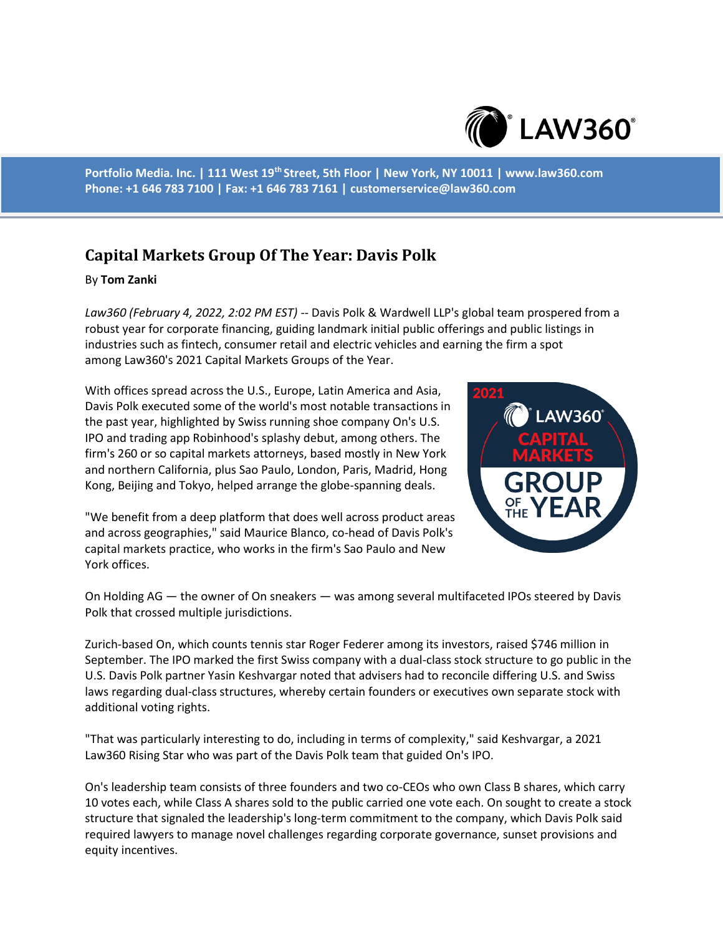

**Portfolio Media. Inc. | 111 West 19th Street, 5th Floor | New York, NY 10011 | www.law360.com Phone: +1 646 783 7100 | Fax: +1 646 783 7161 | customerservice@law360.com**

## **Capital Markets Group Of The Year: Davis Polk**

## By **Tom Zanki**

*Law360 (February 4, 2022, 2:02 PM EST)* -- Davis Polk & Wardwell LLP's global team prospered from a robust year for corporate financing, guiding landmark initial public offerings and public listings in industries such as fintech, consumer retail and electric vehicles and earning the firm a spot among Law360's 2021 Capital Markets Groups of the Year.

With offices spread across the U.S., Europe, Latin America and Asia, Davis Polk executed some of the world's most notable transactions in the past year, highlighted by Swiss running shoe company On's U.S. IPO and trading app Robinhood's splashy debut, among others. The firm's 260 or so capital markets attorneys, based mostly in New York and northern California, plus Sao Paulo, London, Paris, Madrid, Hong Kong, Beijing and Tokyo, helped arrange the globe-spanning deals.

"We benefit from a deep platform that does well across product areas and across geographies," said Maurice Blanco, co-head of Davis Polk's capital markets practice, who works in the firm's Sao Paulo and New York offices.



On Holding AG — the owner of On sneakers — was among several multifaceted IPOs steered by Davis Polk that crossed multiple jurisdictions.

Zurich-based On, which counts tennis star Roger Federer among its investors, raised \$746 million in September. The IPO marked the first Swiss company with a dual-class stock structure to go public in the U.S. Davis Polk partner Yasin Keshvargar noted that advisers had to reconcile differing U.S. and Swiss laws regarding dual-class structures, whereby certain founders or executives own separate stock with additional voting rights.

"That was particularly interesting to do, including in terms of complexity," said Keshvargar, a 2021 Law360 Rising Star who was part of the Davis Polk team that guided On's IPO.

On's leadership team consists of three founders and two co-CEOs who own Class B shares, which carry 10 votes each, while Class A shares sold to the public carried one vote each. On sought to create a stock structure that signaled the leadership's long-term commitment to the company, which Davis Polk said required lawyers to manage novel challenges regarding corporate governance, sunset provisions and equity incentives.